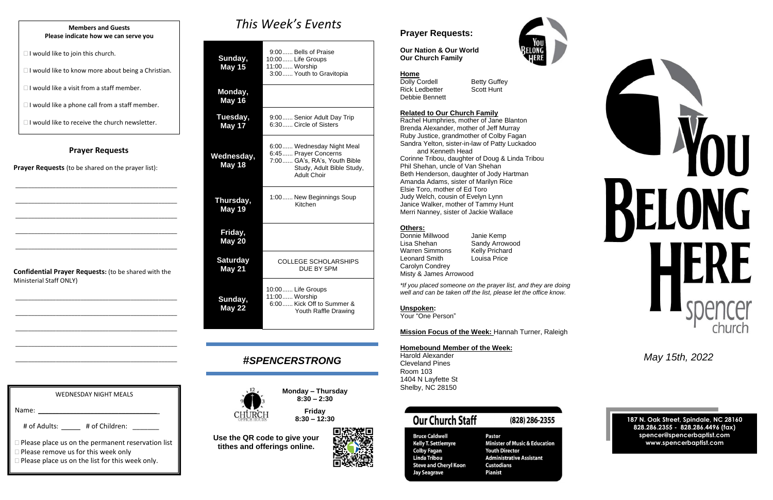#### **Prayer Requests**

**Prayer Requests** (to be shared on the prayer list):

\_\_\_\_\_\_\_\_\_\_\_\_\_\_\_\_\_\_\_\_\_\_\_\_\_\_\_\_\_\_\_\_\_\_\_\_\_\_\_\_\_\_\_\_\_\_\_\_\_\_\_\_

\_\_\_\_\_\_\_\_\_\_\_\_\_\_\_\_\_\_\_\_\_\_\_\_\_\_\_\_\_\_\_\_\_\_\_\_\_\_\_\_\_\_\_\_\_\_\_\_\_\_\_\_

\_\_\_\_\_\_\_\_\_\_\_\_\_\_\_\_\_\_\_\_\_\_\_\_\_\_\_\_\_\_\_\_\_\_\_\_\_\_\_\_\_\_\_\_\_\_\_\_\_\_\_\_

\_\_\_\_\_\_\_\_\_\_\_\_\_\_\_\_\_\_\_\_\_\_\_\_\_\_\_\_\_\_\_\_\_\_\_\_\_\_\_\_\_\_\_\_\_\_\_\_\_\_\_\_

\_\_\_\_\_\_\_\_\_\_\_\_\_\_\_\_\_\_\_\_\_\_\_\_\_\_\_\_\_\_\_\_\_\_\_\_\_\_\_\_\_\_\_\_\_\_\_\_\_\_\_\_

**Confidential Prayer Requests:** (to be shared with the Ministerial Staff ONLY)

\_\_\_\_\_\_\_\_\_\_\_\_\_\_\_\_\_\_\_\_\_\_\_\_\_\_\_\_\_\_\_\_\_\_\_\_\_\_\_\_\_\_\_\_\_\_\_\_\_\_\_\_

\_\_\_\_\_\_\_\_\_\_\_\_\_\_\_\_\_\_\_\_\_\_\_\_\_\_\_\_\_\_\_\_\_\_\_\_\_\_\_\_\_\_\_\_\_\_\_\_\_\_\_\_

\_\_\_\_\_\_\_\_\_\_\_\_\_\_\_\_\_\_\_\_\_\_\_\_\_\_\_\_\_\_\_\_\_\_\_\_\_\_\_\_\_\_\_\_\_\_\_\_\_\_\_\_

\_\_\_\_\_\_\_\_\_\_\_\_\_\_\_\_\_\_\_\_\_\_\_\_\_\_\_\_\_\_\_\_\_\_\_\_\_\_\_\_\_\_\_\_\_\_\_\_\_\_\_\_

\_\_\_\_\_\_\_\_\_\_\_\_\_\_\_\_\_\_\_\_\_\_\_\_\_\_\_\_\_\_\_\_\_\_\_\_\_\_\_\_\_\_\_\_\_\_\_\_\_\_\_\_

*This Week's Events*

Dolly Cordell Betty Guffey Rick Ledbetter Scott Hunt Debbie Bennett

| Sunday,<br><b>May 15</b>         | 9:00 Bells of Praise<br>10:00 Life Groups<br>11:00 Worship<br>3:00 Youth to Gravitopia                                               |
|----------------------------------|--------------------------------------------------------------------------------------------------------------------------------------|
| Monday,<br>May 16                |                                                                                                                                      |
| Tuesday,<br>May 17               | 9:00 Senior Adult Day Trip<br>6:30 Circle of Sisters                                                                                 |
| Wednesday,<br>May 18             | 6:00 Wednesday Night Meal<br>6:45 Prayer Concerns<br>7:00 GA's, RA's, Youth Bible<br>Study, Adult Bible Study,<br><b>Adult Choir</b> |
| Thursday,<br>May 19              | 1:00 New Beginnings Soup<br>Kitchen                                                                                                  |
| Friday,<br><b>May 20</b>         |                                                                                                                                      |
| <b>Saturday</b><br><b>May 21</b> | <b>COLLEGE SCHOLARSHIPS</b><br>DUE BY 5PM                                                                                            |
| Sunday,<br><b>May 22</b>         | 10:00 Life Groups<br>11:00 Worship<br>6:00 Kick Off to Summer &<br>Youth Raffle Drawing                                              |

# *#SPENCERSTRONG*



**Monday – Thursday 8:30 – 2:30**

**Friday 8:30 – 12:30**

**Use the QR code to give your tithes and offerings online.**





# **Prayer Requests:**

**Our Nation & Our World Our Church Family**

# WEDNESDAY NIGHT MEALS Name: # of Adults: \_\_\_\_\_ # of Children: \_\_\_\_\_\_ **Please place us on the permanent reservation list** □ Please remove us for this week only

#### **Home**

#### **Related to Our Church Family**

Rachel Humphries, mother of Jane Blanton Brenda Alexander, mother of Jeff Murray Ruby Justice, grandmother of Colby Fagan Sandra Yelton, sister-in-law of Patty Luckadoo and Kenneth Head

Corinne Tribou, daughter of Doug & Linda Tribou Phil Shehan, uncle of Van Shehan Beth Henderson, daughter of Jody Hartman Amanda Adams, sister of Marilyn Rice Elsie Toro, mother of Ed Toro Judy Welch, cousin of Evelyn Lynn Janice Walker, mother of Tammy Hunt Merri Nanney, sister of Jackie Wallace

#### **Others:**

Donnie Millwood Janie Kemp Lisa Shehan Sandy Arrowood<br>
Warren Simmons Kelly Prichard Warren Simmons Leonard Smith Louisa Price Carolyn Condrey Misty & James Arrowood

*\*If you placed someone on the prayer list, and they are doing well and can be taken off the list, please let the office know.*

#### **Unspoken:**

Your "One Person"

**Mission Focus of the Week:** Hannah Turner, Raleigh

**Homebound Member of the Week:** 

Harold Alexander Cleveland Pines Room 103 1404 N Layfette St Shelby, NC 28150

**Bruce Caldwell** 

**Colby Fagan** 

**Linda Tribou** 

**Jay Seagrave** 

Bruce calament<br>Kelly T. Settlemyre

**Steve and Cheryl Koon** 

# **Our Church Staff**

## (828) 286-2355

**Pastor Minister of Music & Education Youth Director Administrative Assistant Custodians Pianist** 

*May 15th, 2022*

**187 N. Oak Street, Spindale, NC 28160 828.286.2355 - 828.286.4496 (fax) spencer@spencerbaptist.com www.spencerbaptist.com**

#### **Members and Guests Please indicate how we can serve you**

 $\Box$  I would like to join this church.

 $\Box$  I would like to know more about being a Christian.

 $\Box$  I would like a visit from a staff member.

 $\Box$  I would like a phone call from a staff member.

 $\Box$  I would like to receive the church newsletter.

Please place us on the list for this week only.